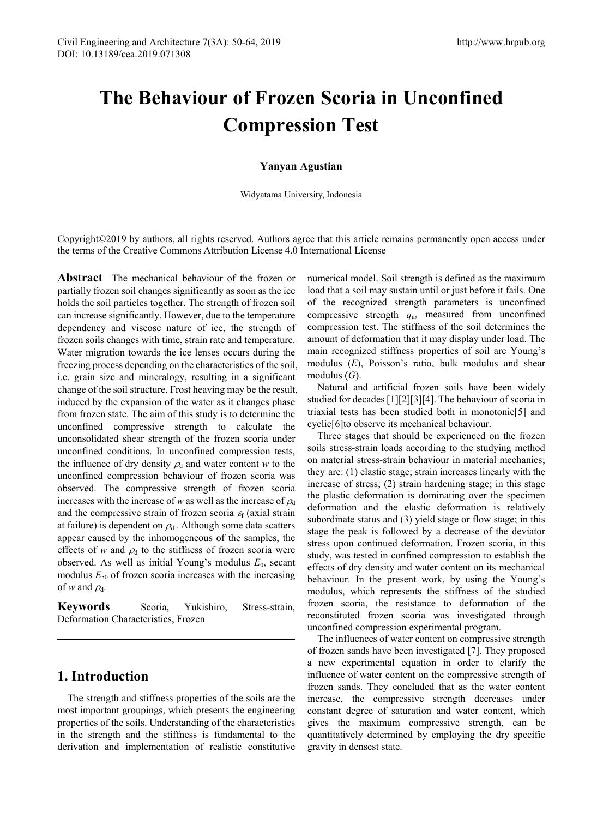# **The Behaviour of Frozen Scoria in Unconfined Compression Test**

### **Yanyan Agustian**

Widyatama University, Indonesia

Copyright©2019 by authors, all rights reserved. Authors agree that this article remains permanently open access under the terms of the Creative Commons Attribution License 4.0 International License

**Abstract** The mechanical behaviour of the frozen or partially frozen soil changes significantly as soon as the ice holds the soil particles together. The strength of frozen soil can increase significantly. However, due to the temperature dependency and viscose nature of ice, the strength of frozen soils changes with time, strain rate and temperature. Water migration towards the ice lenses occurs during the freezing process depending on the characteristics of the soil, i.e. grain size and mineralogy, resulting in a significant change of the soil structure. Frost heaving may be the result, induced by the expansion of the water as it changes phase from frozen state. The aim of this study is to determine the unconfined compressive strength to calculate the unconsolidated shear strength of the frozen scoria under unconfined conditions. In unconfined compression tests, the influence of dry density  $\rho_d$  and water content *w* to the unconfined compression behaviour of frozen scoria was observed. The compressive strength of frozen scoria increases with the increase of *w* as well as the increase of  $\rho_d$ and the compressive strain of frozen scoria  $\varepsilon_f$  (axial strain at failure) is dependent on  $\rho_d$ . Although some data scatters appear caused by the inhomogeneous of the samples, the effects of *w* and  $\rho_d$  to the stiffness of frozen scoria were observed. As well as initial Young's modulus  $E_0$ , secant modulus  $E_{50}$  of frozen scoria increases with the increasing of *w* and  $\rho_d$ .

**Keywords** Scoria, Yukishiro, Stress-strain, Deformation Characteristics, Frozen

## **1. Introduction**

The strength and stiffness properties of the soils are the most important groupings, which presents the engineering properties of the soils. Understanding of the characteristics in the strength and the stiffness is fundamental to the derivation and implementation of realistic constitutive numerical model. Soil strength is defined as the maximum load that a soil may sustain until or just before it fails. One of the recognized strength parameters is unconfined compressive strength *q*u, measured from unconfined compression test. The stiffness of the soil determines the amount of deformation that it may display under load. The main recognized stiffness properties of soil are Young's modulus (*E*), Poisson's ratio, bulk modulus and shear modulus (*G*).

Natural and artificial frozen soils have been widely studied for decades [1][2][3][4]. The behaviour of scoria in triaxial tests has been studied both in monotonic[5] and cyclic[6]to observe its mechanical behaviour.

Three stages that should be experienced on the frozen soils stress-strain loads according to the studying method on material stress-strain behaviour in material mechanics; they are: (1) elastic stage; strain increases linearly with the increase of stress; (2) strain hardening stage; in this stage the plastic deformation is dominating over the specimen deformation and the elastic deformation is relatively subordinate status and (3) yield stage or flow stage; in this stage the peak is followed by a decrease of the deviator stress upon continued deformation. Frozen scoria, in this study, was tested in confined compression to establish the effects of dry density and water content on its mechanical behaviour. In the present work, by using the Young's modulus, which represents the stiffness of the studied frozen scoria, the resistance to deformation of the reconstituted frozen scoria was investigated through unconfined compression experimental program.

The influences of water content on compressive strength of frozen sands have been investigated [7]. They proposed a new experimental equation in order to clarify the influence of water content on the compressive strength of frozen sands. They concluded that as the water content increase, the compressive strength decreases under constant degree of saturation and water content, which gives the maximum compressive strength, can be quantitatively determined by employing the dry specific gravity in densest state.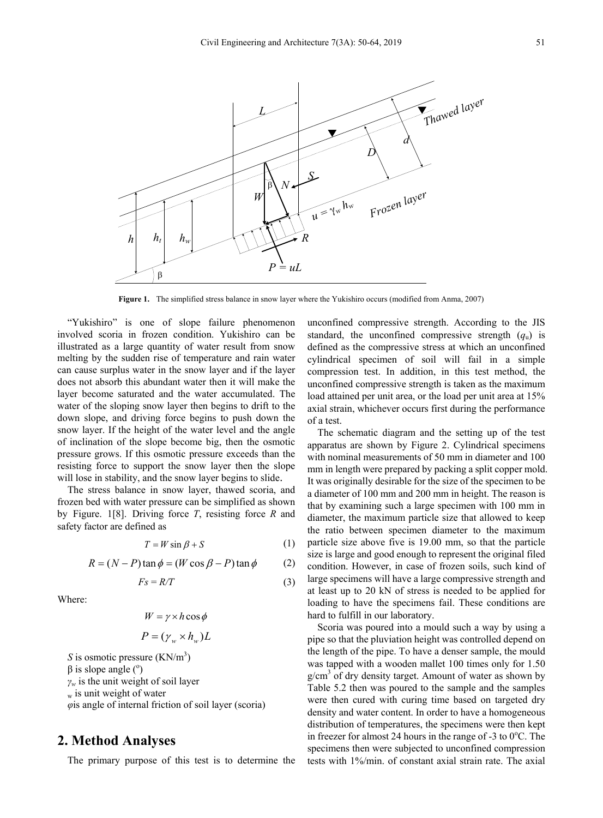

**Figure 1.** The simplified stress balance in snow layer where the Yukishiro occurs (modified from Anma, 2007)

"Yukishiro" is one of slope failure phenomenon involved scoria in frozen condition. Yukishiro can be illustrated as a large quantity of water result from snow melting by the sudden rise of temperature and rain water can cause surplus water in the snow layer and if the layer does not absorb this abundant water then it will make the layer become saturated and the water accumulated. The water of the sloping snow layer then begins to drift to the down slope, and driving force begins to push down the snow layer. If the height of the water level and the angle of inclination of the slope become big, then the osmotic pressure grows. If this osmotic pressure exceeds than the resisting force to support the snow layer then the slope will lose in stability, and the snow layer begins to slide.

The stress balance in snow layer, thawed scoria, and frozen bed with water pressure can be simplified as shown by Figure. 1[8]. Driving force *T*, resisting force *R* and safety factor are defined as

$$
T = W \sin \beta + S \tag{1}
$$

$$
R = (N - P) \tan \phi = (W \cos \beta - P) \tan \phi \tag{2}
$$

$$
Fs = R/T \tag{3}
$$

Where:

$$
W = \gamma \times h \cos \phi
$$

$$
P = (\gamma_w \times h_w)L
$$

*S* is osmotic pressure  $(KN/m^3)$  $\beta$  is slope angle ( $\degree$ ) *γ<sup>w</sup>* is the unit weight of soil layer  $_{\rm w}$  is unit weight of water *φ*is angle of internal friction of soil layer (scoria)

## **2. Method Analyses**

The primary purpose of this test is to determine the

unconfined compressive strength. According to the JIS standard, the unconfined compressive strength  $(q_u)$  is defined as the compressive stress at which an unconfined cylindrical specimen of soil will fail in a simple compression test. In addition, in this test method, the unconfined compressive strength is taken as the maximum load attained per unit area, or the load per unit area at 15% axial strain, whichever occurs first during the performance of a test.

The schematic diagram and the setting up of the test apparatus are shown by Figure 2. Cylindrical specimens with nominal measurements of 50 mm in diameter and 100 mm in length were prepared by packing a split copper mold. It was originally desirable for the size of the specimen to be a diameter of 100 mm and 200 mm in height. The reason is that by examining such a large specimen with 100 mm in diameter, the maximum particle size that allowed to keep the ratio between specimen diameter to the maximum particle size above five is 19.00 mm, so that the particle size is large and good enough to represent the original filed condition. However, in case of frozen soils, such kind of large specimens will have a large compressive strength and at least up to 20 kN of stress is needed to be applied for loading to have the specimens fail. These conditions are hard to fulfill in our laboratory.

Scoria was poured into a mould such a way by using a pipe so that the pluviation height was controlled depend on the length of the pipe. To have a denser sample, the mould was tapped with a wooden mallet 100 times only for 1.50  $g/cm<sup>3</sup>$  of dry density target. Amount of water as shown by Table 5.2 then was poured to the sample and the samples were then cured with curing time based on targeted dry density and water content. In order to have a homogeneous distribution of temperatures, the specimens were then kept in freezer for almost 24 hours in the range of -3 to  $0^{\circ}$ C. The specimens then were subjected to unconfined compression tests with 1%/min. of constant axial strain rate. The axial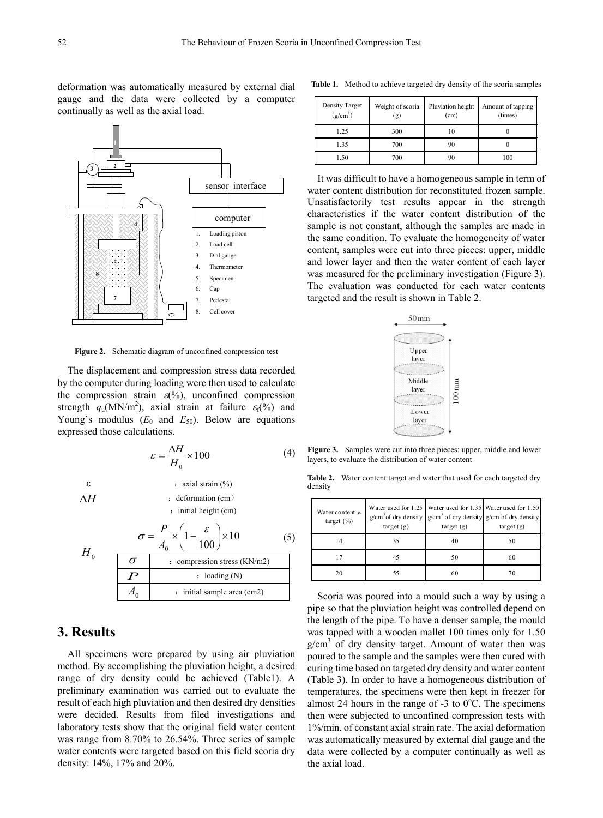deformation was automatically measured by external dial gauge and the data were collected by a computer continually as well as the axial load.



**Figure 2.** Schematic diagram of unconfined compression test

The displacement and compression stress data recorded by the computer during loading were then used to calculate the compression strain  $\varepsilon(\%)$ , unconfined compression strength  $q_u(MN/m^2)$ , axial strain at failure  $\varepsilon_f(\%)$  and Young's modulus  $(E_0$  and  $E_{50}$ ). Below are equations expressed those calculations.

$$
\varepsilon = \frac{\Delta H}{H_0} \times 100\tag{4}
$$

 $\epsilon$  : axial strain  $(\%)$ 

*H*0

 $\triangle H$  : deformation (cm) : initial height (cm)

$$
H_0 \t \t \overline{\sigma} = \frac{P}{A_0} \times \left(1 - \frac{\varepsilon}{100}\right) \times 10
$$
 (5)  
\n  
\n
$$
\overline{P} \t \therefore \text{ compression stress (KN/m2)}
$$
  
\n
$$
A_0 \t \therefore \text{ initial sample area (cm2)}
$$

# **3. Results**

All specimens were prepared by using air pluviation method. By accomplishing the pluviation height, a desired range of dry density could be achieved (Table1). A preliminary examination was carried out to evaluate the result of each high pluviation and then desired dry densities were decided. Results from filed investigations and laboratory tests show that the original field water content was range from 8.70% to 26.54%. Three series of sample water contents were targeted based on this field scoria dry density: 14%, 17% and 20%.

| <b>Table 1.</b> Method to achieve targeted dry density of the scoria samples |
|------------------------------------------------------------------------------|
|------------------------------------------------------------------------------|

| Density Target<br>(g/cm <sup>3</sup> ) | Weight of scoria<br>(g) | Pluviation height<br>(cm) | Amount of tapping<br>(times) |
|----------------------------------------|-------------------------|---------------------------|------------------------------|
| 1.25                                   | 300                     | 10                        |                              |
| 1.35                                   | 700                     | 90                        |                              |
| 1.50                                   | 700                     | 90                        | 100                          |

It was difficult to have a homogeneous sample in term of water content distribution for reconstituted frozen sample. Unsatisfactorily test results appear in the strength characteristics if the water content distribution of the sample is not constant, although the samples are made in the same condition. To evaluate the homogeneity of water content, samples were cut into three pieces: upper, middle and lower layer and then the water content of each layer was measured for the preliminary investigation (Figure 3). The evaluation was conducted for each water contents targeted and the result is shown in Table 2.



**Figure 3.** Samples were cut into three pieces: upper, middle and lower layers, to evaluate the distribution of water content

**Table 2.** Water content target and water that used for each targeted dry density

| Water content $w$<br>target $(\% )$ | Water used for 1.25 Water used for 1.35 Water used for 1.50<br>$g/cm3$ of dry density $g/cm3$ of dry density $g/cm3$ of dry density<br>target(g)<br>target(g) |    | target(g) |  |
|-------------------------------------|---------------------------------------------------------------------------------------------------------------------------------------------------------------|----|-----------|--|
| 14                                  | 35                                                                                                                                                            | 40 | 50        |  |
| 17                                  | 45                                                                                                                                                            | 50 | 60        |  |
| 20                                  | 55                                                                                                                                                            | 60 |           |  |

Scoria was poured into a mould such a way by using a pipe so that the pluviation height was controlled depend on the length of the pipe. To have a denser sample, the mould was tapped with a wooden mallet 100 times only for 1.50  $g/cm<sup>3</sup>$  of dry density target. Amount of water then was poured to the sample and the samples were then cured with curing time based on targeted dry density and water content (Table 3). In order to have a homogeneous distribution of temperatures, the specimens were then kept in freezer for almost 24 hours in the range of  $-3$  to 0 $\degree$ C. The specimens then were subjected to unconfined compression tests with 1%/min. of constant axial strain rate. The axial deformation was automatically measured by external dial gauge and the data were collected by a computer continually as well as the axial load.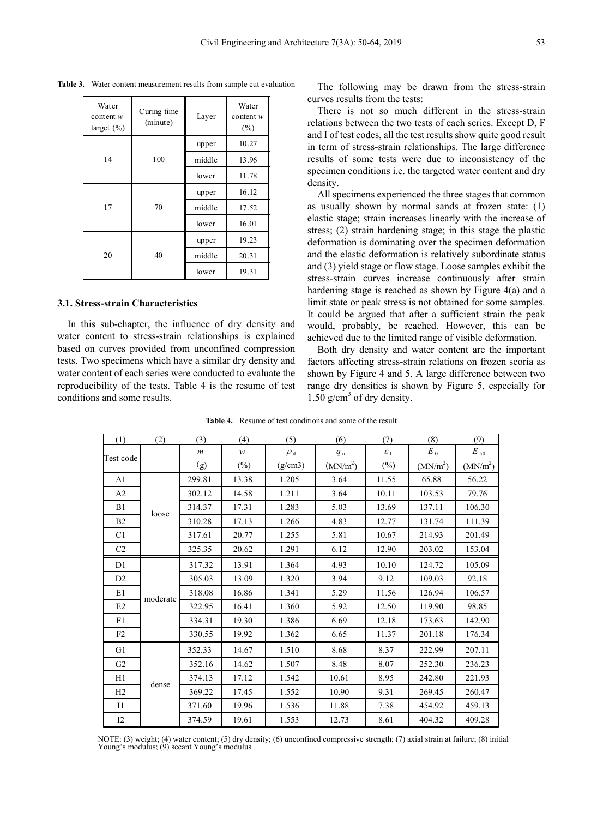| Water<br>content $w$<br>target $(\% )$ | Curing time<br>Layer<br>(minute) |        | Water<br>content $w$<br>$(\% )$ |
|----------------------------------------|----------------------------------|--------|---------------------------------|
|                                        |                                  | upper  |                                 |
| 14                                     | 100                              | middle | 13.96                           |
|                                        |                                  | lower  | 11.78                           |
| 17                                     |                                  | upper  | 16.12                           |
|                                        | 70                               | middle | 17.52                           |
|                                        |                                  | lower  | 16.01                           |
| 20                                     |                                  | upper  |                                 |
|                                        | 40                               | middle | 20.31                           |
|                                        |                                  | lower  | 19.31                           |

**Table 3.** Water content measurement results from sample cut evaluation

#### **3.1. Stress-strain Characteristics**

In this sub-chapter, the influence of dry density and water content to stress-strain relationships is explained based on curves provided from unconfined compression tests. Two specimens which have a similar dry density and water content of each series were conducted to evaluate the reproducibility of the tests. Table 4 is the resume of test conditions and some results.

The following may be drawn from the stress-strain curves results from the tests:

There is not so much different in the stress-strain relations between the two tests of each series. Except D, F and I of test codes, all the test results show quite good result in term of stress-strain relationships. The large difference results of some tests were due to inconsistency of the specimen conditions i.e. the targeted water content and dry density.

All specimens experienced the three stages that common as usually shown by normal sands at frozen state: (1) elastic stage; strain increases linearly with the increase of stress; (2) strain hardening stage; in this stage the plastic deformation is dominating over the specimen deformation and the elastic deformation is relatively subordinate status and (3) yield stage or flow stage. Loose samples exhibit the stress-strain curves increase continuously after strain hardening stage is reached as shown by Figure 4(a) and a limit state or peak stress is not obtained for some samples. It could be argued that after a sufficient strain the peak would, probably, be reached. However, this can be achieved due to the limited range of visible deformation.

Both dry density and water content are the important factors affecting stress-strain relations on frozen scoria as shown by Figure 4 and 5. A large difference between two range dry densities is shown by Figure 5, especially for  $1.50$  g/cm<sup>3</sup> of dry density.

| (1)            | (2)      | (3)              | (4)          | (5)            | (6)                  | (7)                   | (8)                  | (9)                  |
|----------------|----------|------------------|--------------|----------------|----------------------|-----------------------|----------------------|----------------------|
| Test code      |          | $\boldsymbol{m}$ | $\mathcal W$ | $\rho_{\rm d}$ | $q_{\rm u}$          | $\varepsilon_{\rm f}$ | $E_{0}$              | $E_{50}$             |
|                |          | (g)              | $(\%)$       | (g/cm3)        | (MN/m <sup>2</sup> ) | $(\%)$                | (MN/m <sup>2</sup> ) | (MN/m <sup>2</sup> ) |
| A1             |          | 299.81           | 13.38        | 1.205          | 3.64                 | 11.55                 | 65.88                | 56.22                |
| A2             |          | 302.12           | 14.58        | 1.211          | 3.64                 | 10.11                 | 103.53               | 79.76                |
| B1             | loose    | 314.37           | 17.31        | 1.283          | 5.03                 | 13.69                 | 137.11               | 106.30               |
| B2             |          | 310.28           | 17.13        | 1.266          | 4.83                 | 12.77                 | 131.74               | 111.39               |
| C1             |          | 317.61           | 20.77        | 1.255          | 5.81                 | 10.67                 | 214.93               | 201.49               |
| C2             |          | 325.35           | 20.62        | 1.291          | 6.12                 | 12.90                 | 203.02               | 153.04               |
| D1             |          | 317.32           | 13.91        | 1.364          | 4.93                 | 10.10                 | 124.72               | 105.09               |
| D2             |          | 305.03           | 13.09        | 1.320          | 3.94                 | 9.12                  | 109.03               | 92.18                |
| E1             | moderate | 318.08           | 16.86        | 1.341          | 5.29                 | 11.56                 | 126.94               | 106.57               |
| E2             |          | 322.95           | 16.41        | 1.360          | 5.92                 | 12.50                 | 119.90               | 98.85                |
| F1             |          | 334.31           | 19.30        | 1.386          | 6.69                 | 12.18                 | 173.63               | 142.90               |
| F2             |          | 330.55           | 19.92        | 1.362          | 6.65                 | 11.37                 | 201.18               | 176.34               |
| G1             |          | 352.33           | 14.67        | 1.510          | 8.68                 | 8.37                  | 222.99               | 207.11               |
| G <sub>2</sub> |          | 352.16           | 14.62        | 1.507          | 8.48                 | 8.07                  | 252.30               | 236.23               |
| H1             | dense    | 374.13           | 17.12        | 1.542          | 10.61                | 8.95                  | 242.80               | 221.93               |
| H2             |          | 369.22           | 17.45        | 1.552          | 10.90                | 9.31                  | 269.45               | 260.47               |
| $_{\rm II}$    |          | 371.60           | 19.96        | 1.536          | 11.88                | 7.38                  | 454.92               | 459.13               |
| 12             |          | 374.59           | 19.61        | 1.553          | 12.73                | 8.61                  | 404.32               | 409.28               |

**Table 4.** Resume of test conditions and some of the result

NOTE: (3) weight; (4) water content; (5) dry density; (6) unconfined compressive strength; (7) axial strain at failure; (8) initial Young's modulus; (9) secant Young's modulus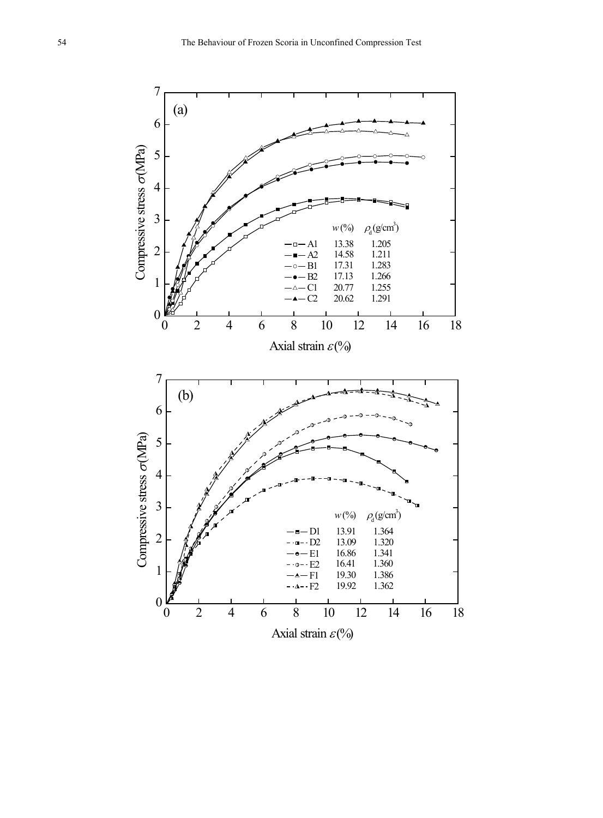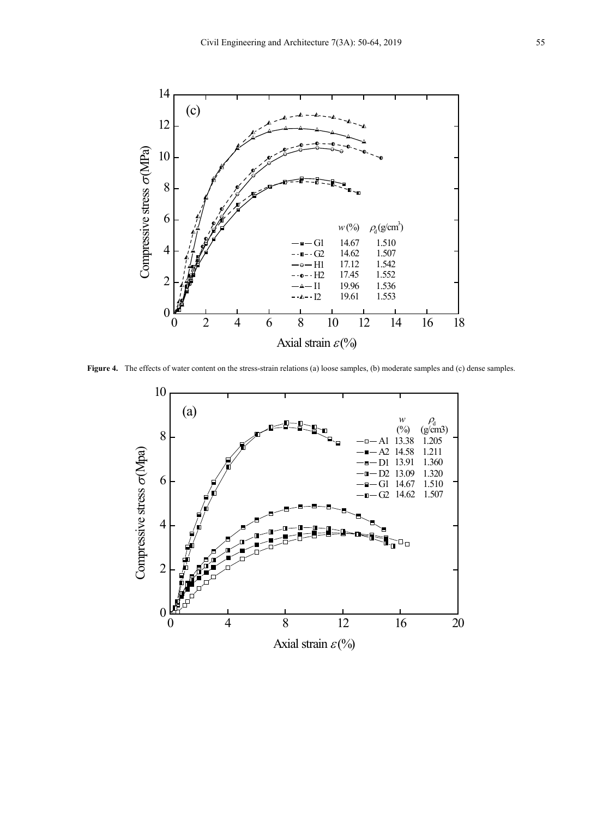

**Figure 4.** The effects of water content on the stress-strain relations (a) loose samples, (b) moderate samples and (c) dense samples.

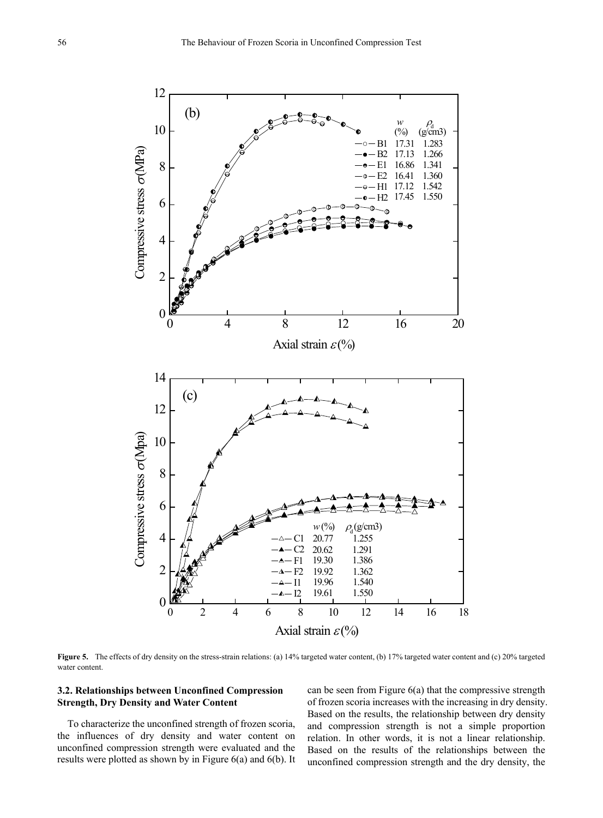

**Figure 5.** The effects of dry density on the stress-strain relations: (a) 14% targeted water content, (b) 17% targeted water content and (c) 20% targeted water content.

#### **3.2. Relationships between Unconfined Compression Strength, Dry Density and Water Content**

To characterize the unconfined strength of frozen scoria, the influences of dry density and water content on unconfined compression strength were evaluated and the results were plotted as shown by in Figure 6(a) and 6(b). It can be seen from Figure 6(a) that the compressive strength of frozen scoria increases with the increasing in dry density. Based on the results, the relationship between dry density and compression strength is not a simple proportion relation. In other words, it is not a linear relationship. Based on the results of the relationships between the unconfined compression strength and the dry density, the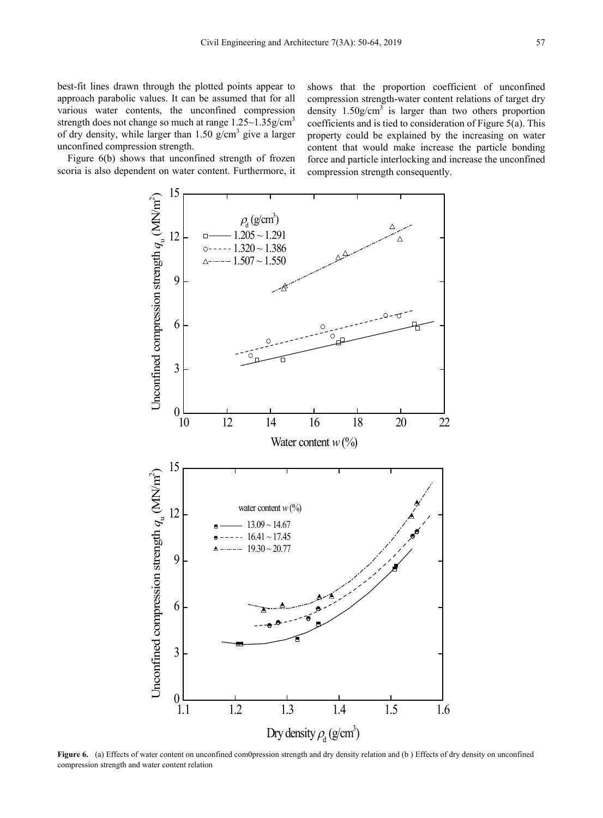best-fit lines drawn through the plotted points appear to approach parabolic values. It can be assumed that for all various water contents, the unconfined compression strength does not change so much at range  $1.25 \sim 1.35$  g/cm<sup>3</sup> of dry density, while larger than  $1.50$  g/cm<sup>3</sup> give a larger unconfined compression strength.

Figure 6(b) shows that unconfined strength of frozen scoria is also dependent on water content. Furthermore, it shows that the proportion coefficient of unconfined compression strength-water content relations of target dry density  $1.50g/cm<sup>3</sup>$  is larger than two others proportion coefficients and is tied to consideration of Figure 5(a). This property could be explained by the increasing on water content that would make increase the particle bonding force and particle interlocking and increase the unconfined compression strength consequently.



**Figure 6.** (a) Effects of water content on unconfined com0pression strength and dry density relation and (b) Effects of dry density on unconfined compression strength and water content relation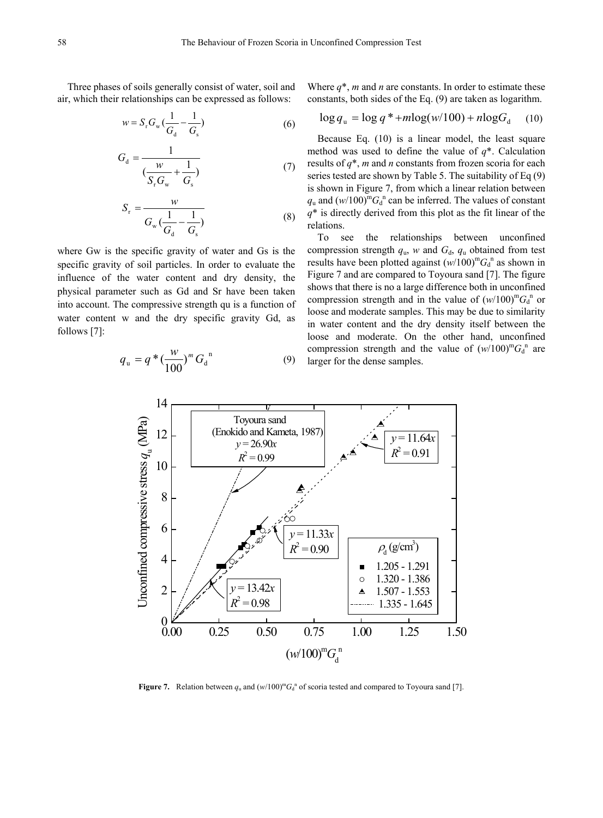Three phases of soils generally consist of water, soil and air, which their relationships can be expressed as follows:

*G*

$$
w = S_{\rm r} G_{\rm w} \left( \frac{1}{G_{\rm d}} - \frac{1}{G_{\rm s}} \right) \tag{6}
$$

$$
G_{\rm d} = \frac{1}{\left(\frac{w}{S_{\rm r}G_{\rm w}} + \frac{1}{G_{\rm s}}\right)}\tag{7}
$$

$$
S_{\rm r} = \frac{w}{G_{\rm w} \left(\frac{1}{G_{\rm d}} - \frac{1}{G_{\rm s}}\right)}\tag{8}
$$

where Gw is the specific gravity of water and Gs is the specific gravity of soil particles. In order to evaluate the influence of the water content and dry density, the physical parameter such as Gd and Sr have been taken into account. The compressive strength qu is a function of water content w and the dry specific gravity Gd, as follows [7]:

$$
q_{\rm u} = q^* \left(\frac{w}{100}\right)^m G_{\rm d}^{\ \rm n} \tag{9}
$$

Where  $q^*$ , *m* and *n* are constants. In order to estimate these constants, both sides of the Eq. (9) are taken as logarithm.

$$
\log q_{\rm u} = \log q^* + m \log(w/100) + n \log G_{\rm d} \quad (10)
$$

Because Eq. (10) is a linear model, the least square method was used to define the value of *q*\*. Calculation results of *q*\*, *m* and *n* constants from frozen scoria for each series tested are shown by Table 5. The suitability of Eq (9) is shown in Figure 7, from which a linear relation between  $q_u$  and  $(w/100)^m G_d^{\text{n}}$  can be inferred. The values of constant *q*\* is directly derived from this plot as the fit linear of the relations.

To see the relationships between unconfined compression strength  $q_u$ , *w* and  $G_d$ ,  $q_u$  obtained from test results have been plotted against  $(w/100)^m G_d^n$  as shown in Figure 7 and are compared to Toyoura sand [7]. The figure shows that there is no a large difference both in unconfined compression strength and in the value of  $(w/100)^m G_d$ <sup>n</sup> or loose and moderate samples. This may be due to similarity in water content and the dry density itself between the loose and moderate. On the other hand, unconfined compression strength and the value of  $(w/100)^m G_d$ <sup>n</sup> are larger for the dense samples.



**Figure 7.** Relation between  $q_u$  and  $(w/100)^m G_d$ <sup>n</sup> of scoria tested and compared to Toyoura sand [7].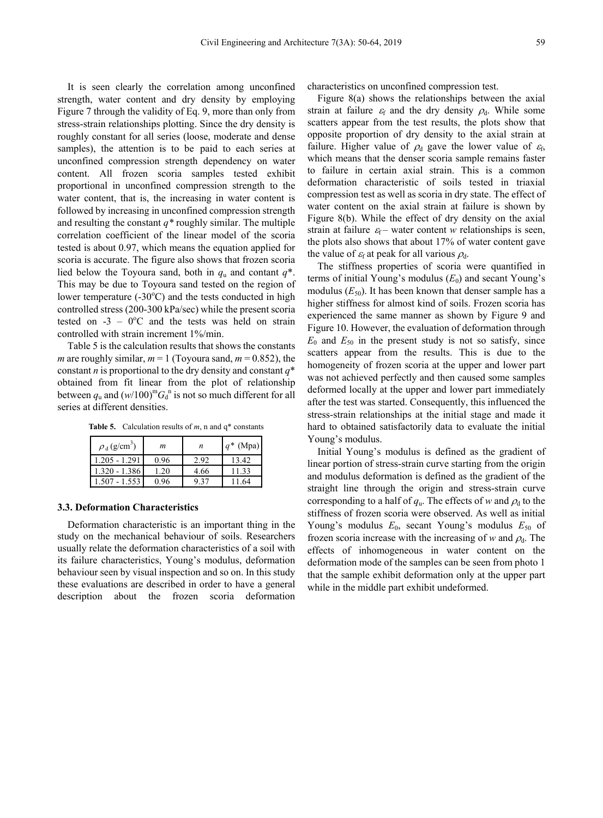It is seen clearly the correlation among unconfined strength, water content and dry density by employing Figure 7 through the validity of Eq. 9, more than only from stress-strain relationships plotting. Since the dry density is roughly constant for all series (loose, moderate and dense samples), the attention is to be paid to each series at unconfined compression strength dependency on water content. All frozen scoria samples tested exhibit proportional in unconfined compression strength to the water content, that is, the increasing in water content is followed by increasing in unconfined compression strength and resulting the constant *q\** roughly similar. The multiple correlation coefficient of the linear model of the scoria tested is about 0.97, which means the equation applied for scoria is accurate. The figure also shows that frozen scoria lied below the Toyoura sand, both in  $q_u$  and contant  $q^*$ . This may be due to Toyoura sand tested on the region of lower temperature  $(-30^{\circ}C)$  and the tests conducted in high controlled stress (200-300 kPa/sec) while the present scoria tested on  $-3 - 0$ <sup>o</sup>C and the tests was held on strain controlled with strain increment 1%/min.

Table 5 is the calculation results that shows the constants *m* are roughly similar,  $m = 1$  (Toyoura sand,  $m = 0.852$ ), the constant *n* is proportional to the dry density and constant *q*\* obtained from fit linear from the plot of relationship between  $q_u$  and  $(w/100)^m G_d$ <sup>n</sup> is not so much different for all series at different densities.

**Table 5.** Calculation results of  $m$ , n and  $q^*$  constants

| $\rho_d$ (g/cm <sup>3</sup> ) | m    | n    | $q^*$ (Mpa) |
|-------------------------------|------|------|-------------|
| 1.205 - 1.291                 | 0.96 | 2.92 | 13.42       |
| 1.320 - 1.386                 | 1.20 | 4.66 | 11.33       |
| $-1.553$                      | 0.96 |      |             |

#### **3.3. Deformation Characteristics**

Deformation characteristic is an important thing in the study on the mechanical behaviour of soils. Researchers usually relate the deformation characteristics of a soil with its failure characteristics, Young's modulus, deformation behaviour seen by visual inspection and so on. In this study these evaluations are described in order to have a general description about the frozen scoria deformation

characteristics on unconfined compression test.

Figure 8(a) shows the relationships between the axial strain at failure  $\varepsilon_f$  and the dry density  $\rho_d$ . While some scatters appear from the test results, the plots show that opposite proportion of dry density to the axial strain at failure. Higher value of  $\rho_d$  gave the lower value of  $\varepsilon_f$ , which means that the denser scoria sample remains faster to failure in certain axial strain. This is a common deformation characteristic of soils tested in triaxial compression test as well as scoria in dry state. The effect of water content on the axial strain at failure is shown by Figure 8(b). While the effect of dry density on the axial strain at failure  $\varepsilon_f$  – water content *w* relationships is seen, the plots also shows that about 17% of water content gave the value of  $\varepsilon_f$  at peak for all various  $\rho_d$ .

The stiffness properties of scoria were quantified in terms of initial Young's modulus  $(E_0)$  and secant Young's modulus  $(E_{50})$ . It has been known that denser sample has a higher stiffness for almost kind of soils. Frozen scoria has experienced the same manner as shown by Figure 9 and Figure 10. However, the evaluation of deformation through  $E_0$  and  $E_{50}$  in the present study is not so satisfy, since scatters appear from the results. This is due to the homogeneity of frozen scoria at the upper and lower part was not achieved perfectly and then caused some samples deformed locally at the upper and lower part immediately after the test was started. Consequently, this influenced the stress-strain relationships at the initial stage and made it hard to obtained satisfactorily data to evaluate the initial Young's modulus.

Initial Young's modulus is defined as the gradient of linear portion of stress-strain curve starting from the origin and modulus deformation is defined as the gradient of the straight line through the origin and stress-strain curve corresponding to a half of  $q_u$ . The effects of *w* and  $\rho_d$  to the stiffness of frozen scoria were observed. As well as initial Young's modulus  $E_0$ , secant Young's modulus  $E_{50}$  of frozen scoria increase with the increasing of *w* and  $\rho_d$ . The effects of inhomogeneous in water content on the deformation mode of the samples can be seen from photo 1 that the sample exhibit deformation only at the upper part while in the middle part exhibit undeformed.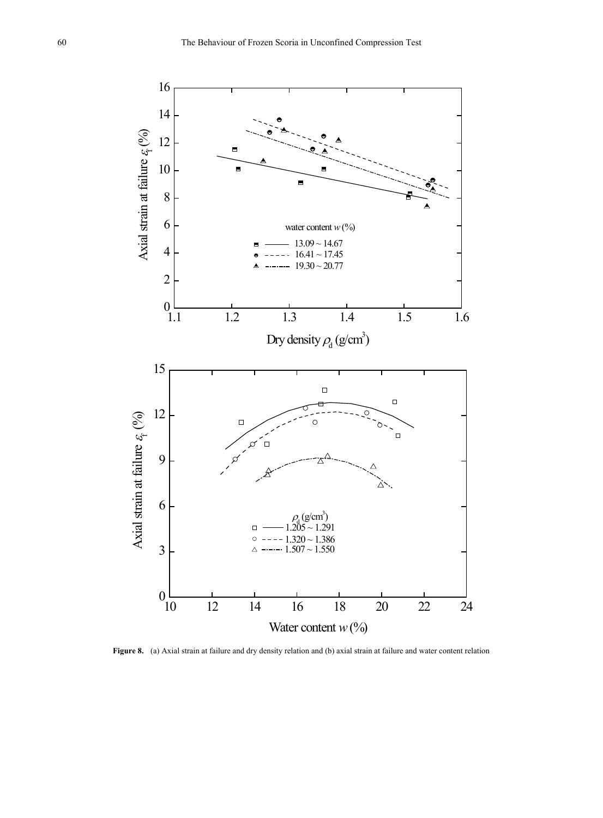

**Figure 8.** (a) Axial strain at failure and dry density relation and (b) axial strain at failure and water content relation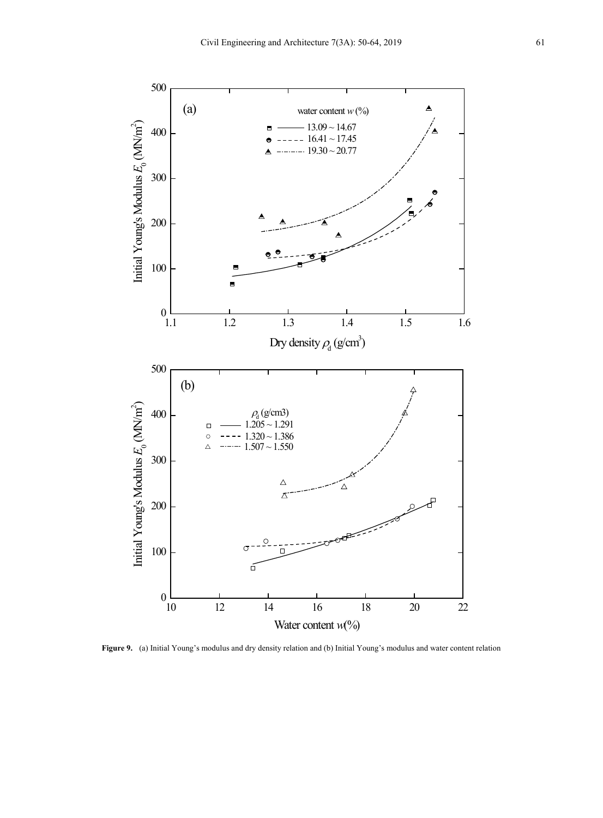

**Figure 9.** (a) Initial Young's modulus and dry density relation and (b) Initial Young's modulus and water content relation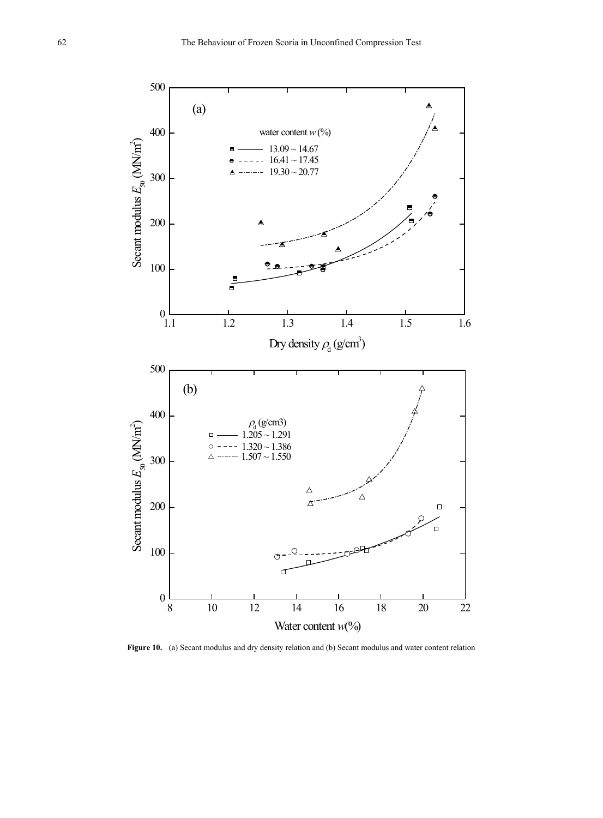

Figure 10. (a) Secant modulus and dry density relation and (b) Secant modulus and water content relation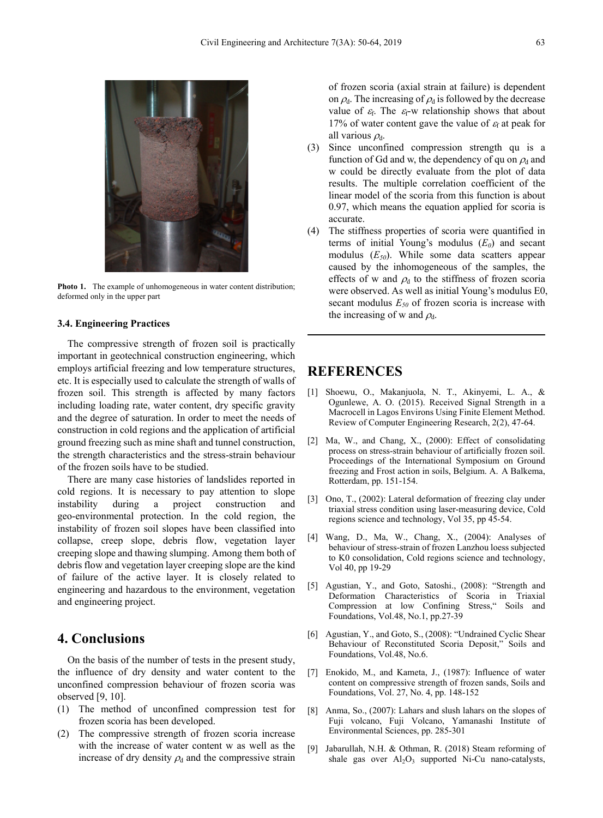

**Photo 1.** The example of unhomogeneous in water content distribution; deformed only in the upper part

#### **3.4. Engineering Practices**

The compressive strength of frozen soil is practically important in geotechnical construction engineering, which employs artificial freezing and low temperature structures, etc. It is especially used to calculate the strength of walls of frozen soil. This strength is affected by many factors including loading rate, water content, dry specific gravity and the degree of saturation. In order to meet the needs of construction in cold regions and the application of artificial ground freezing such as mine shaft and tunnel construction, the strength characteristics and the stress-strain behaviour of the frozen soils have to be studied.

There are many case histories of landslides reported in cold regions. It is necessary to pay attention to slope instability during a project construction and geo-environmental protection. In the cold region, the instability of frozen soil slopes have been classified into collapse, creep slope, debris flow, vegetation layer creeping slope and thawing slumping. Among them both of debris flow and vegetation layer creeping slope are the kind of failure of the active layer. It is closely related to engineering and hazardous to the environment, vegetation and engineering project.

## **4. Conclusions**

On the basis of the number of tests in the present study, the influence of dry density and water content to the unconfined compression behaviour of frozen scoria was observed [9, 10].

- (1) The method of unconfined compression test for frozen scoria has been developed.
- (2) The compressive strength of frozen scoria increase with the increase of water content w as well as the increase of dry density  $\rho_d$  and the compressive strain

of frozen scoria (axial strain at failure) is dependent on  $\rho_d$ . The increasing of  $\rho_d$  is followed by the decrease value of  $\varepsilon_f$ . The  $\varepsilon_f$ -w relationship shows that about 17% of water content gave the value of  $\varepsilon_f$  at peak for all various  $\rho_d$ .

- (3) Since unconfined compression strength qu is a function of Gd and w, the dependency of qu on  $\rho_d$  and w could be directly evaluate from the plot of data results. The multiple correlation coefficient of the linear model of the scoria from this function is about 0.97, which means the equation applied for scoria is accurate.
- (4) The stiffness properties of scoria were quantified in terms of initial Young's modulus  $(E_0)$  and secant modulus (*E50*). While some data scatters appear caused by the inhomogeneous of the samples, the effects of w and  $\rho_d$  to the stiffness of frozen scoria were observed. As well as initial Young's modulus E0, secant modulus  $E_{50}$  of frozen scoria is increase with the increasing of w and  $\rho_d$ .

## **REFERENCES**

- [1] Shoewu, O., Makanjuola, N. T., Akinyemi, L. A., & Ogunlewe, A. O. (2015). Received Signal Strength in a Macrocell in Lagos Environs Using Finite Element Method. Review of Computer Engineering Research, 2(2), 47-64.
- [2] Ma, W., and Chang, X., (2000): Effect of consolidating process on stress-strain behaviour of artificially frozen soil. Proceedings of the International Symposium on Ground freezing and Frost action in soils, Belgium. A. A Balkema, Rotterdam, pp. 151-154.
- [3] Ono, T., (2002): Lateral deformation of freezing clay under triaxial stress condition using laser-measuring device, Cold regions science and technology, Vol 35, pp 45-54.
- [4] Wang, D., Ma, W., Chang, X., (2004): Analyses of behaviour of stress-strain of frozen Lanzhou loess subjected to K0 consolidation, Cold regions science and technology, Vol 40, pp 19-29
- [5] Agustian, Y., and Goto, Satoshi., (2008): "Strength and Deformation Characteristics of Scoria in Triaxial Compression at low Confining Stress," Soils and Foundations, Vol.48, No.1, pp.27-39
- [6] Agustian, Y., and Goto, S., (2008): "Undrained Cyclic Shear Behaviour of Reconstituted Scoria Deposit," Soils and Foundations, Vol.48, No.6.
- [7] Enokido, M., and Kameta, J., (1987): Influence of water content on compressive strength of frozen sands, Soils and Foundations, Vol. 27, No. 4, pp. 148-152
- [8] Anma, So., (2007): Lahars and slush lahars on the slopes of Fuji volcano, Fuji Volcano, Yamanashi Institute of Environmental Sciences, pp. 285-301
- [9] Jabarullah, N.H. & Othman, R. (2018) Steam reforming of shale gas over  $Al_2O_3$  supported Ni-Cu nano-catalysts,